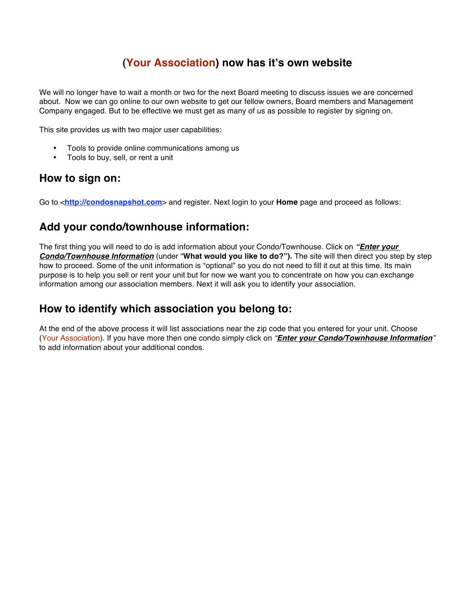# **(Your Association) now has it's own website**

We will no longer have to wait a month or two for the next Board meeting to discuss issues we are concerned about. Now we can go online to our own website to get our fellow owners, Board members and Management Company engaged. But to be effective we must get as many of us as possible to register by signing on.

This site provides us with two major user capabilities:

- Tools to provide online communications among us<br>• Tools to buy sell or rent a unit
- Tools to buy, sell, or rent a unit

#### **How to sign on:**

Go to <**http://condosnapshot.com**> and register. Next login to your **Home** page and proceed as follows:

## **Add your condo/townhouse information:**

The first thing you will need to do is add information about your Condo/Townhouse. Click on *"Enter your Condo/Townhouse Information* (under "**What would you like to do?").** The site will then direct you step by step how to proceed. Some of the unit information is "optional" so you do not need to fill it out at this time. Its main purpose is to help you sell or rent your unit but for now we want you to concentrate on how you can exchange information among our association members. Next it will ask you to identify your association.

### **How to identify which association you belong to:**

At the end of the above process it will list associations near the zip code that you entered for your unit. Choose (Your Association). If you have more then one condo simply click on *"Enter your Condo/Townhouse Information"* to add information about your additional condos.